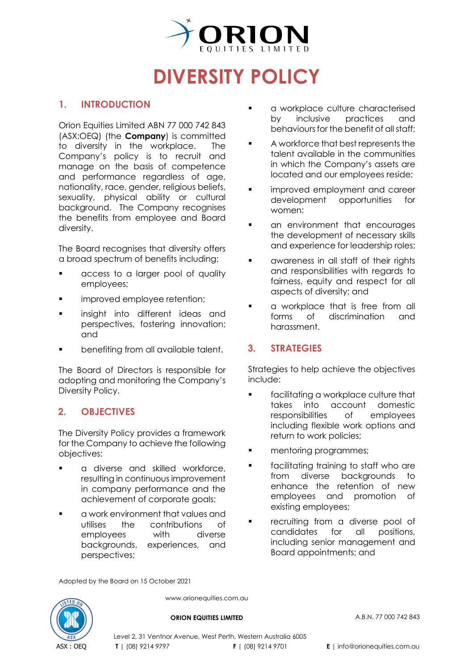

# **DIVERSITY POLICY**

## **1. INTRODUCTION**

Orion Equities Limited ABN 77 000 742 843 (ASX[:OEQ\)](https://www2.asx.com.au/markets/company/oeq) (the **Company**) is committed to diversity in the workplace. The Company's policy is to recruit and manage on the basis of competence and performance regardless of age, nationality, race, gender, religious beliefs, sexuality, physical ability or cultural background. The Company recognises the benefits from employee and Board diversity.

The Board recognises that diversity offers a broad spectrum of benefits including:

- **a** access to a larger pool of quality employees;
- **I** improved employee retention;
- **Insight into different ideas and** perspectives, fostering innovation; and
- benefiting from all available talent.

The Board of Directors is responsible for adopting and monitoring the Company's Diversity Policy.

# **2. OBJECTIVES**

The Diversity Policy provides a framework for the Company to achieve the following objectives:

- **a** diverse and skilled workforce, resulting in continuous improvement in company performance and the achievement of corporate goals;
- a work environment that values and utilises the contributions of employees with diverse backgrounds, experiences, and perspectives;
- **a** a workplace culture characterised by inclusive practices and behaviours for the benefit of all staff:
- A workforce that best represents the talent available in the communities in which the Company's assets are located and our employees reside;
- **improved employment and career** development opportunities for women;
- **•** an environment that encourages the development of necessary skills and experience for leadership roles;
- **a** awareness in all staff of their rights and responsibilities with regards to fairness, equity and respect for all aspects of diversity; and
- **a** a workplace that is free from all forms of discrimination and harassment.

## **3. STRATEGIES**

Strategies to help achieve the objectives include:

- **Facilitating a workplace culture that** takes into account domestic responsibilities of employees including flexible work options and return to work policies;
- **nd** mentoring programmes;
- **Facilitating training to staff who are** from diverse backgrounds to enhance the retention of new employees and promotion of existing employees;
- recruiting from a diverse pool of candidates for all positions, including senior management and Board appointments; and

Adopted by the Board on 15 October 2021



www.orionequities.com.au

**ORION EQUITIES LIMITED** A.B.N. 77 000 742 843

Level 2, 31 Ventnor Avenue, West Perth, Western Australia 6005 **T** | (08) 9214 9797 **F** | (08) 9214 9701 **E** | info@orionequities.com.au